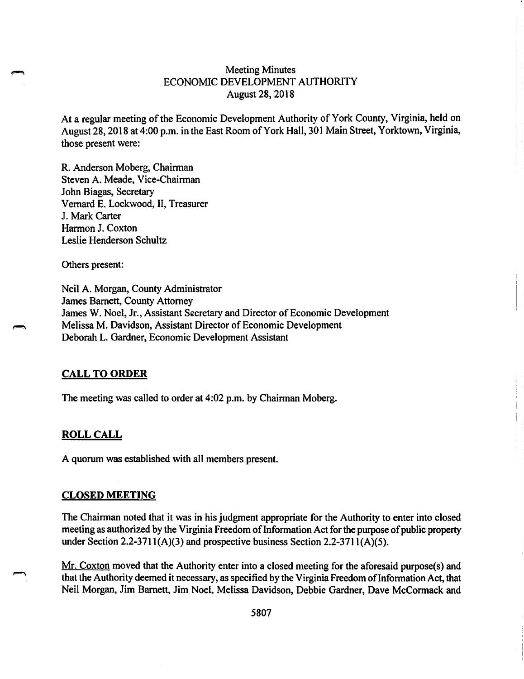# Meeting Minutes ECONOMIC DEVELOPMENT AUTHORITY August 28, 2018

At a regular meeting of the Economic Development Authority of York County, Virginia, held on August 28, 2018 at 4:00 p.m. in the East Room of York Hall, 301 Main Street, Yorktown, Virginia, those present were:

R. Anderson Moberg, Chairman Steven A. Meade, Vice-Chairman John Biagas, Secretary Vernard E. Lockwood, II, Treasurer J. Mark Carter Harmon J. Coxton Leslie Henderson Schultz

Others present:

Neil A. Morgan, County Administrator James Barnett, County Attorney James W. Noel, Jr., Assistant Secretary and Director of Economic Development Melissa M. Davidson, Assistant Director of Economic Development Deborah L. Gardner, Economic Development Assistant

#### **CALL TO ORDER**

The meeting was called to order at 4:02 p.m. by Chairman Moberg.

#### **ROLL CALL**

A quorum was established with all members present.

#### **CLOSED MEETING**

The Chairman noted that it was in his judgment appropriate for the Authority to enter into closed meeting as authorized by the Virginia Freedom of Information Act for the purpose of public property under Section 2.2-3711(A)(3) and prospective business Section 2.2-3711(A)(5).

Mr. Coxton moved that the Authority enter into a closed meeting for the aforesaid purpose(s) and that the Authority deemed it necessary, as specified by the Virginia Freedom of Information Act, that Neil Morgan, Jim Barnett, Jim Noel, Melissa Davidson, Debbie Gardner, Dave McCormack and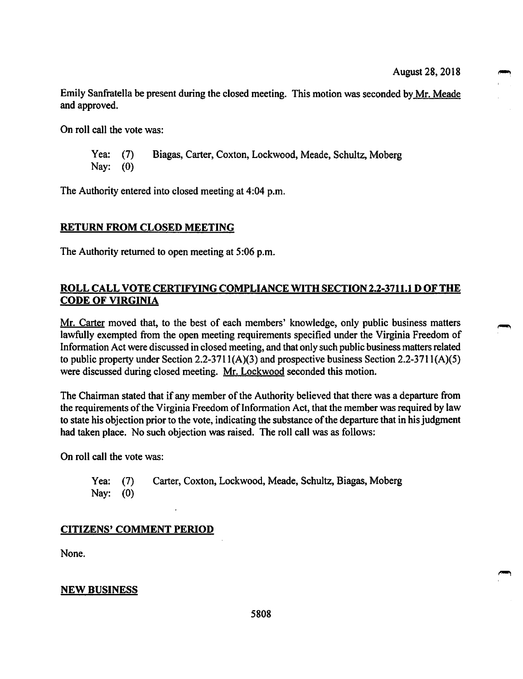Emily Sanfratella be present during the closed meeting. This motion was seconded by Mr. Meade and approved.

On roll call the vote was:

Yea: (7) Biagas, Carter, Coxton, Lockwood, Meade, Schultz, Moberg Nay: (0)

The Authority entered into closed meeting at 4:04 p.m.

#### **RETURN FROM CLOSED MEETING**

The Authority returned to open meeting at 5:06 p.m.

# **ROLL CALL VOTE CERTIFYING COMPLIANCE WITH SECTION 2.2-3711.1 D OF THE CODE OF VIRGINIA**

Mr. Carter moved that, to the best of each members' knowledge, only public business matters lawfully exempted from the open meeting requirements specified under the Virginia Freedom of Information Act were discussed in closed meeting, and that only such public business matters related to public property under Section 2.2-371 l(A)(3) and prospective business Section 2.2-371 l(A)(S) were discussed during closed meeting. Mr. Lockwood seconded this motion.

The Chairman stated that if any member of the Authority believed that there was a departure from the requirements of the Virginia Freedom of Information Act, that the member was required by law to state his objection prior to the vote, indicating the substance of the departure that in his judgment had taken place. No such objection was raised. The roll call was as follows:

On roll call the vote was:

Yea: (7) Carter, Coxton, Lockwood, Meade, Schultz, Biagas, Moberg Nay: (0)

#### **CITIZENS' COMMENT PERIOD**

None.

#### **NEW BUSINESS**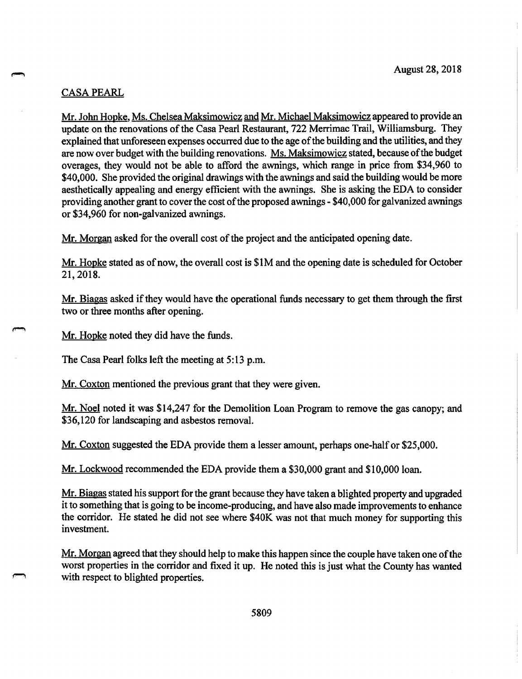#### CASA PEARL

Mr. John Hopke, Ms. Chelsea Maksimowicz and Mr. Michael Maksimowicz appeared to provide an update on the renovations of the Casa Pearl Restaurant, 722 Merrimac Trail, Williamsburg. They explained that unforeseen expenses occurred due to the age of the building and the utilities, and they are now over budget with the building renovations. Ms. Maksimowicz stated, because ofthe budget overages, they would not be able to afford the awnings, which range in price from \$34,960 to \$40,000. She provided the original drawings with the awnings and said the building would be more aesthetically appealing and energy efficient with the awnings. She is asking the EDA to consider providing another grant to cover the cost of the proposed awnings - \$40,000 for galvanized awnings or \$34,960 for non-galvanized awnings.

Mr. Morgan asked for the overall cost of the project and the anticipated opening date.

Mr. Hopke stated as of now, the overall cost is \$IM and the opening date is scheduled for October 21, 2018.

Mr. Biagas asked if they would have the operational funds necessary to get them through the first two or three months after opening.

Mr. Hopke noted they did have the funds.

The Casa Pearl folks left the meeting at 5: 13 p.m.

Mr. Coxton mentioned the previous grant that they were given.

Mr. Noel noted it was \$14,247 for the Demolition Loan Program to remove the gas canopy; and \$36,120 for landscaping and asbestos removal.

Mr. Coxton suggested the EDA provide them a lesser amount, perhaps one-half or \$25,000.

Mr. Lockwood recommended the EDA provide them a \$30,000 grant and \$10,000 loan.

Mr. Biagas stated his support for the grant because they have taken a blighted property and upgraded it to something that is going to be income-producing, and have also made improvements to enhance the corridor. He stated he did not see where \$40K was not that much money for supporting this investment.

Mr. Morgan agreed that they should help to make this happen since the couple have taken one of the worst properties in the corridor and fixed it up. He noted this is just what the County has wanted with respect to blighted properties.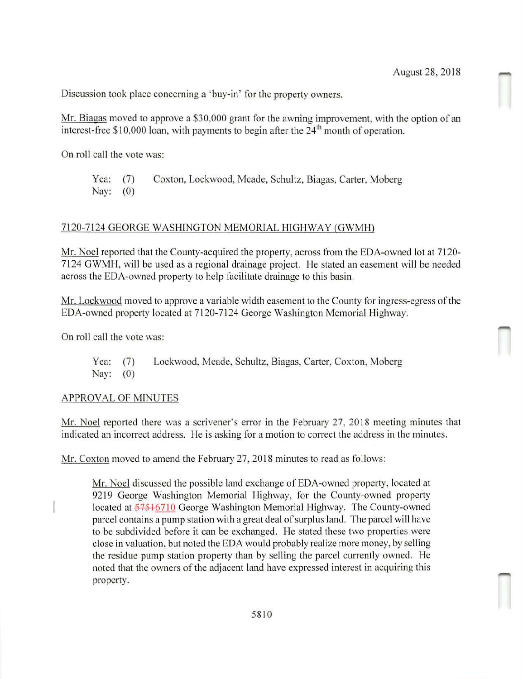Discussion took place concerning a 'buy-in' for the property owners.

Mr. Biagas moved to approve a \$30,000 grant for the awning improvement, with the option of an interest-free \$10,000 loan, with payments to begin after the  $24<sup>th</sup>$  month of operation.

On roll call the vote was:

Yea: (7) Coxton, Lockwood, Meade, Schultz, Biagas, Carter, Moberg Nay: (0)

#### 7 120-7124 GEORGE WASHINGTON MEMORIAL HIGHWAY (GWMH)

Mr. Noel reported that the County-acquired the property, across from the EDA-owned lot at 7 120- 7124 GWMH, will be used as a regional drainage project. He stated an easement will be needed across the EDA-owned property to help facilitate drainage to this basin.

Mr. Lockwood moved to approve a variable width easement to the County for ingress-egress of the EDA-owned property located at 7120-7124 George Washington Memorial Highway.

On roll call the vote was:

Yea: (7) Lockwood, Meade, Schultz, Biagas, Carter, Coxton, Moberg Nay: (0)

#### APPROVAL OF MlNUTES

Mr. Noel reported there was a scrivener's error in the February 27, 2018 meeting minutes that indicated an incorrect address. He is asking for a motion to correct the address in the minutes.

Mr. Coxton moved to amend the February 27, 2018 minutes to read as follows:

Mr. Noel discussed the possible land exchange of EDA-owned property, located at 9219 George Washington Memorial Highway, for the County-owned property located at 57516710 George Washington Memorial Highway. The County-owned parcel contains a pump station with a great deal of surplus land. The parcel will have to be subdivided before it can be exchanged. He stated these two properties were close in valuation, but noted the EDA would probably realize more money, by selling the residue pump station property than by selling the parcel currently owned. He noted that the owners of the adjacent land have expressed interest in acquiring this property.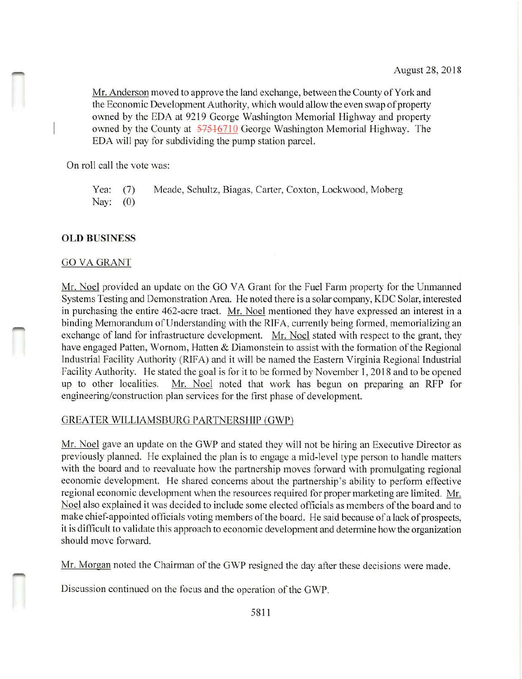August 28, 2018<br>Mr. Anderson moved to approve the land exchange, between the County of York and the Economic Development Authority, which would allow the even swap of property owned by the EDA at 9219 George Washington Memorial Highway and property owned by the County at 57516710 George Washington Memorial Highway. The EDA will pay for subdividing the pump station parcel.

On roll call the vote was:

Yea: (7) Meade, Schultz, Biagas, Carter, Caxton, Lockwood, Moberg Nay: (0)

#### **OLD BUSINESS**

#### GO VAGRANT

Mr. Noel provided an update on the GO VA Grant for the Fuel Farm property for the Unmanned Systems Testing and Demonstration Area. He noted there is a solar company, KDC Solar, interested in purchasing the entire 462-acre tract. Mr. Noel mentioned they have expressed an interest in a binding Memorandum of Understanding with the RIFA, currently being formed, memorializing an exchange of land for infrastructure development. Mr. Noel stated with respect to the grant, they have engaged Patten, Wornom, Hatten & Diamonstein to assist with the formation of the Regional Industrial Facility Authority (RlFA) and it will be named the Eastern Virginia Regional Industrial Facility Authority. He stated the goal is for it to be formed by November 1, 2018 and to be opened up to other localities. Mr. Noel noted that work has begun on preparing an RFP for engineering/construction plan services for the first phase of development.

## GREATER WILLIAMSBURG PARTNERSHIP (GWP)

Mr. Noel gave an update on the GWP and stated they will not be hiring an Executive Director as previously planned. He explained the plan is to engage a mid-level type person to handle matters with the board and to reevaluate how the partnership moves forward with promulgating regional economic development. He shared concerns about the partnership's ability to perform effective regional economic development when the resources required for proper marketing are limited. Mr. Noel also explained it was decided to include some elected officials as members of the board and to make chief-appointed officials voting members of the board. He said because of a lack of prospects, it is difficult to validate this approach to economic development and determine how the organization should move forward.

Mr. Morgan noted the Chairman of the GWP resigned the day after these decisions were made.

Discussion continued on the focus and the operation of the GWP.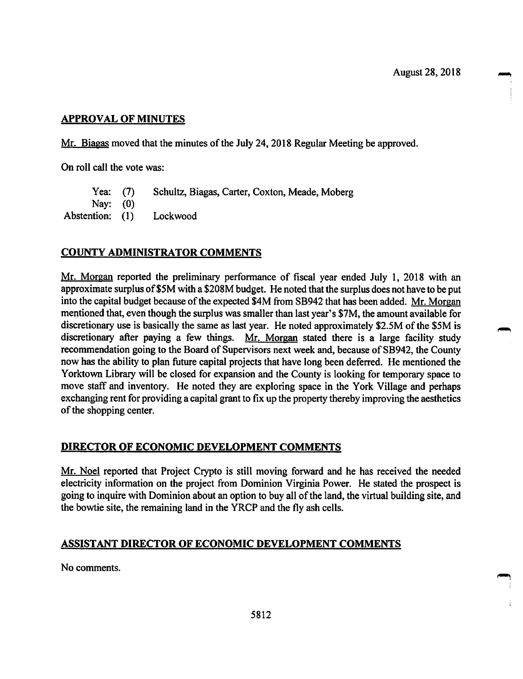## **APPROVAL OF MINUTES**

Mr. Biagas moved that the minutes of the July 24, 2018 Regular Meeting be approved.

On roll call the vote was:

Yea: (7) Schultz, Biagas, Carter, Coxton, Meade, Moberg

Nay: (0)

Abstention: (1) Lockwood

## **COUNTY ADMINISTRATOR COMMENTS**

Mr. Morgan reported the preliminary performance of fiscal year ended July 1, 2018 with an approximate surplus of\$SM with a \$208M budget. He noted that the surplus does not have to be put into the capital budget because of the expected \$4M from SB942 that has been added. Mr. Morgan mentioned that, even though the surplus was smaller than last year's \$7M, the amount available for discretionary use is basically the same as last year. He noted approximately \$2.5M of the \$5M is discretionary after paying a few things. Mr. Morgan stated there is a large facility study recommendation going to the Board of Supervisors next week and, because of SB942, the County now has the ability to plan future capital projects that have long been deferred. He mentioned the Yorktown Library will be closed for expansion and the County is looking for temporary space to move staff and inventory. He noted they are exploring space in the York Village and perhaps exchanging rent for providing a capital grant to fix up the property thereby improving the aesthetics of the shopping center.

## **DIRECTOR OF ECONOMIC DEVELOPMENT COMMENTS**

Mr. Noel reported that Project Crypto is still moving forward and he has received the needed electricity information on the project from Dominion Virginia Power. He stated the prospect is going to inquire with Dominion about an option to buy all of the land, the virtual building site, and the bowtie site, the remaining land in the YRCP and the fly ash cells.

## **ASSISTANT DIRECTOR OF ECONOMIC DEVELOPMENT COMMENTS**

No comments.